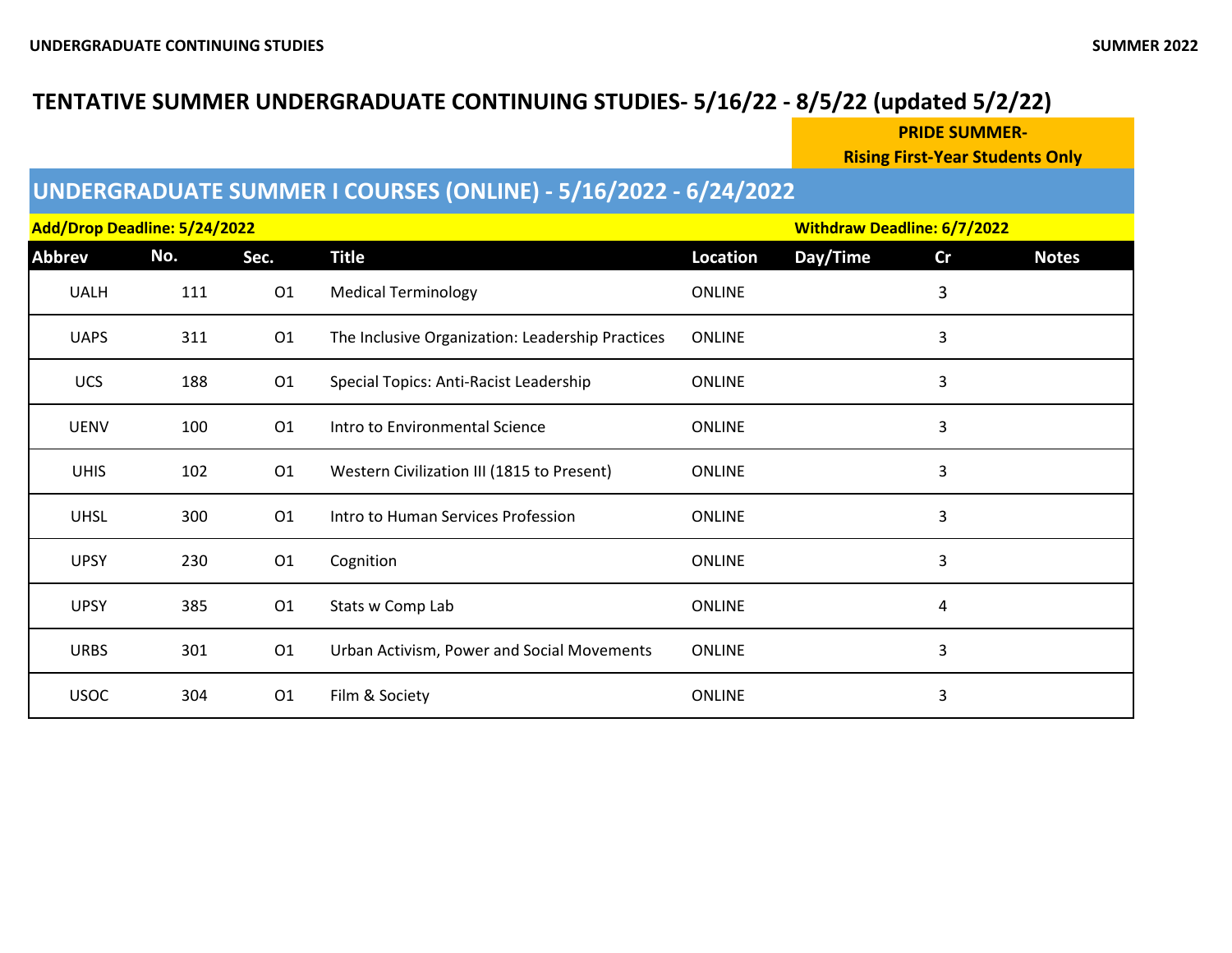### **TENTATIVE SUMMER UNDERGRADUATE CONTINUING STUDIES- 5/16/22 - 8/5/22 (updated 5/2/22)**

**PRIDE SUMMER-**

**Rising First-Year Students Only**

## **UNDERGRADUATE SUMMER I COURSES (ONLINE) - 5/16/2022 - 6/24/2022**

| Add/Drop Deadline: 5/24/2022 |     |                |                                                  |               | <b>Withdraw Deadline: 6/7/2022</b> |    |              |
|------------------------------|-----|----------------|--------------------------------------------------|---------------|------------------------------------|----|--------------|
| <b>Abbrev</b>                | No. | Sec.           | <b>Title</b>                                     | Location      | Day/Time                           | Cr | <b>Notes</b> |
| <b>UALH</b>                  | 111 | 01             | <b>Medical Terminology</b>                       | <b>ONLINE</b> |                                    | 3  |              |
| <b>UAPS</b>                  | 311 | 01             | The Inclusive Organization: Leadership Practices | <b>ONLINE</b> |                                    | 3  |              |
| <b>UCS</b>                   | 188 | O <sub>1</sub> | Special Topics: Anti-Racist Leadership           | <b>ONLINE</b> |                                    | 3  |              |
| <b>UENV</b>                  | 100 | O <sub>1</sub> | Intro to Environmental Science                   | <b>ONLINE</b> |                                    | 3  |              |
| <b>UHIS</b>                  | 102 | 01             | Western Civilization III (1815 to Present)       | <b>ONLINE</b> |                                    | 3  |              |
| <b>UHSL</b>                  | 300 | O1             | Intro to Human Services Profession               | <b>ONLINE</b> |                                    | 3  |              |
| <b>UPSY</b>                  | 230 | 01             | Cognition                                        | <b>ONLINE</b> |                                    | 3  |              |
| <b>UPSY</b>                  | 385 | 01             | Stats w Comp Lab                                 | <b>ONLINE</b> |                                    | 4  |              |
| <b>URBS</b>                  | 301 | O1             | Urban Activism, Power and Social Movements       | <b>ONLINE</b> |                                    | 3  |              |
| <b>USOC</b>                  | 304 | O <sub>1</sub> | Film & Society                                   | <b>ONLINE</b> |                                    | 3  |              |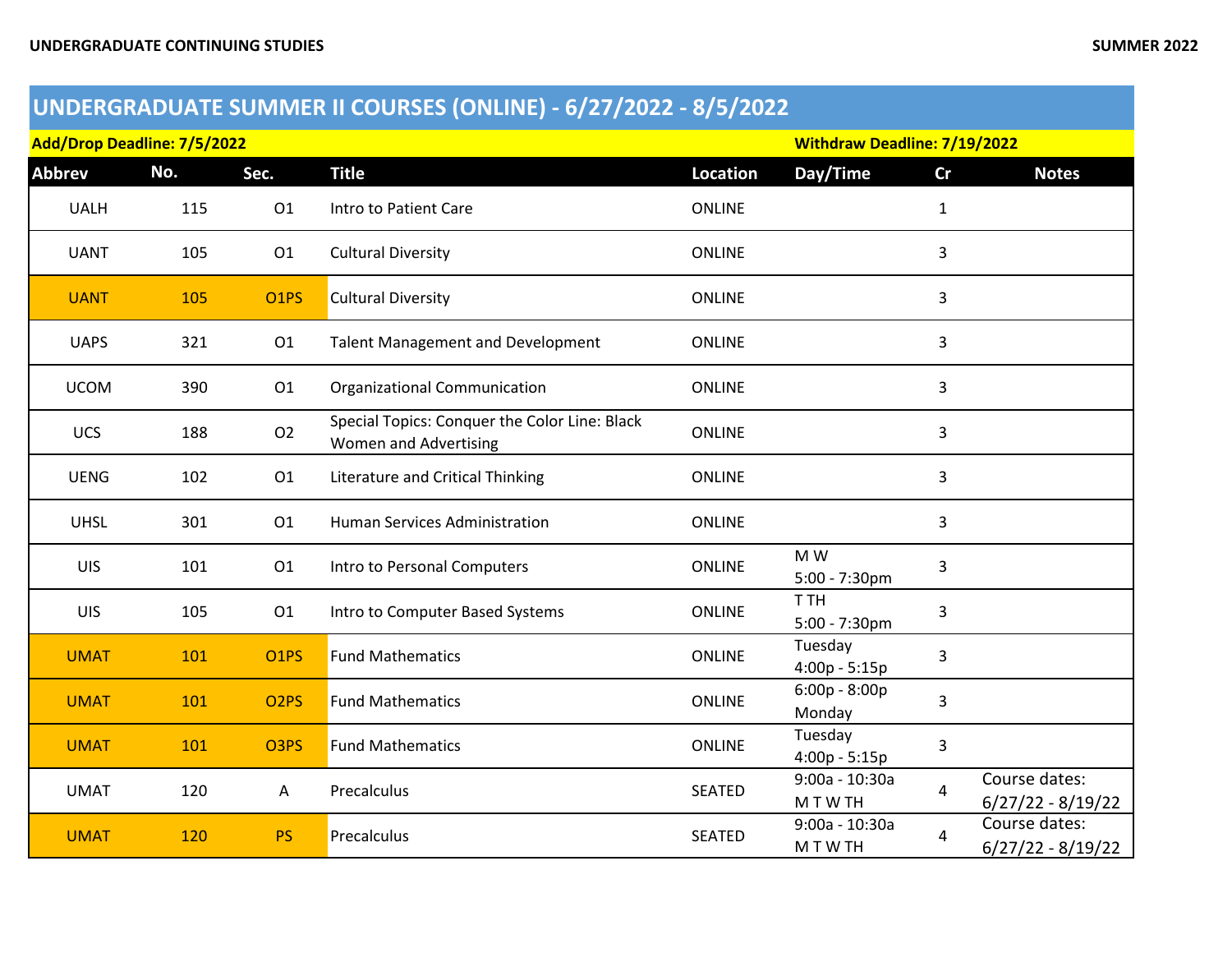## **UNDERGRADUATE SUMMER II COURSES (ONLINE) - 6/27/2022 - 8/5/2022**

| Add/Drop Deadline: 7/5/2022 |     |                   |                                                                        | <b>Withdraw Deadline: 7/19/2022</b> |                            |              |                                      |
|-----------------------------|-----|-------------------|------------------------------------------------------------------------|-------------------------------------|----------------------------|--------------|--------------------------------------|
| <b>Abbrev</b>               | No. | Sec.              | <b>Title</b>                                                           | <b>Location</b>                     | Day/Time                   | cr           | <b>Notes</b>                         |
| <b>UALH</b>                 | 115 | 01                | Intro to Patient Care                                                  | <b>ONLINE</b>                       |                            | $\mathbf{1}$ |                                      |
| <b>UANT</b>                 | 105 | 01                | <b>Cultural Diversity</b>                                              | <b>ONLINE</b>                       |                            | 3            |                                      |
| <b>UANT</b>                 | 105 | <b>O1PS</b>       | <b>Cultural Diversity</b>                                              | <b>ONLINE</b>                       |                            | 3            |                                      |
| <b>UAPS</b>                 | 321 | 01                | <b>Talent Management and Development</b>                               | <b>ONLINE</b>                       |                            | 3            |                                      |
| <b>UCOM</b>                 | 390 | O <sub>1</sub>    | <b>Organizational Communication</b>                                    | <b>ONLINE</b>                       |                            | 3            |                                      |
| <b>UCS</b>                  | 188 | 02                | Special Topics: Conquer the Color Line: Black<br>Women and Advertising | <b>ONLINE</b>                       |                            | 3            |                                      |
| <b>UENG</b>                 | 102 | 01                | Literature and Critical Thinking                                       | <b>ONLINE</b>                       |                            | 3            |                                      |
| <b>UHSL</b>                 | 301 | 01                | Human Services Administration                                          | <b>ONLINE</b>                       |                            | 3            |                                      |
| UIS                         | 101 | 01                | Intro to Personal Computers                                            | <b>ONLINE</b>                       | M W<br>5:00 - 7:30pm       | 3            |                                      |
| UIS                         | 105 | O <sub>1</sub>    | Intro to Computer Based Systems                                        | <b>ONLINE</b>                       | T TH<br>$5:00 - 7:30$ pm   | 3            |                                      |
| <b>UMAT</b>                 | 101 | O <sub>1</sub> PS | <b>Fund Mathematics</b>                                                | <b>ONLINE</b>                       | Tuesday<br>$4:00p - 5:15p$ | 3            |                                      |
| <b>UMAT</b>                 | 101 | O <sub>2</sub> PS | <b>Fund Mathematics</b>                                                | <b>ONLINE</b>                       | $6:00p - 8:00p$<br>Monday  | 3            |                                      |
| <b>UMAT</b>                 | 101 | O3PS              | <b>Fund Mathematics</b>                                                | <b>ONLINE</b>                       | Tuesday<br>$4:00p - 5:15p$ | 3            |                                      |
| <b>UMAT</b>                 | 120 | A                 | Precalculus                                                            | <b>SEATED</b>                       | 9:00a - 10:30a<br>M T W TH | 4            | Course dates:<br>$6/27/22 - 8/19/22$ |
| <b>UMAT</b>                 | 120 | <b>PS</b>         | Precalculus                                                            | <b>SEATED</b>                       | 9:00a - 10:30a<br>M T W TH | 4            | Course dates:<br>$6/27/22 - 8/19/22$ |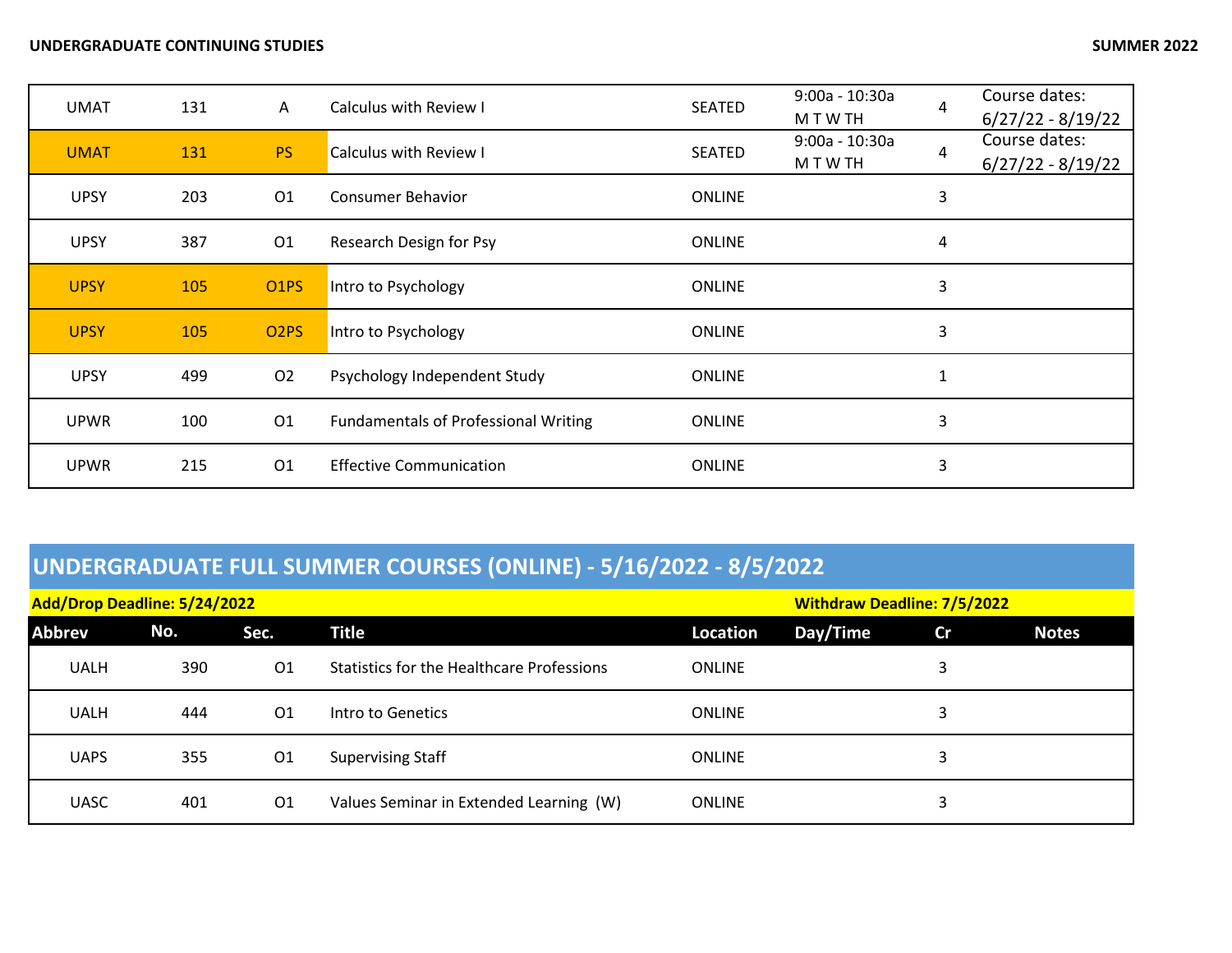#### **UNDERGRADUATE CONTINUING STUDIES SUMMER 2022**

| <b>UMAT</b> | 131 | $\mathsf{A}$      | Calculus with Review I                      | <b>SEATED</b> | $9:00a - 10:30a$<br>M T W TH | 4 | Course dates:<br>$6/27/22 - 8/19/22$ |
|-------------|-----|-------------------|---------------------------------------------|---------------|------------------------------|---|--------------------------------------|
| <b>UMAT</b> | 131 | <b>PS</b>         | Calculus with Review I                      | <b>SEATED</b> | $9:00a - 10:30a$<br>M T W TH | 4 | Course dates:<br>$6/27/22 - 8/19/22$ |
| <b>UPSY</b> | 203 | 01                | <b>Consumer Behavior</b>                    | <b>ONLINE</b> |                              | 3 |                                      |
| <b>UPSY</b> | 387 | 01                | Research Design for Psy                     | <b>ONLINE</b> |                              | 4 |                                      |
| <b>UPSY</b> | 105 | O <sub>1</sub> PS | Intro to Psychology                         | <b>ONLINE</b> |                              | 3 |                                      |
| <b>UPSY</b> | 105 | O <sub>2</sub> PS | Intro to Psychology                         | <b>ONLINE</b> |                              | 3 |                                      |
| <b>UPSY</b> | 499 | 02                | Psychology Independent Study                | <b>ONLINE</b> |                              | 1 |                                      |
| <b>UPWR</b> | 100 | 01                | <b>Fundamentals of Professional Writing</b> | <b>ONLINE</b> |                              | 3 |                                      |
| <b>UPWR</b> | 215 | 01                | <b>Effective Communication</b>              | <b>ONLINE</b> |                              | 3 |                                      |

# **UNDERGRADUATE FULL SUMMER COURSES (ONLINE) - 5/16/2022 - 8/5/2022**

| Add/Drop Deadline: 5/24/2022 |     |                |                                                  |               | <b>Withdraw Deadline: 7/5/2022</b> |    |              |
|------------------------------|-----|----------------|--------------------------------------------------|---------------|------------------------------------|----|--------------|
| Abbrev                       | No. | Sec.           | <b>Title</b>                                     | Location      | Day/Time                           | cr | <b>Notes</b> |
| <b>UALH</b>                  | 390 | O <sub>1</sub> | <b>Statistics for the Healthcare Professions</b> | <b>ONLINE</b> |                                    | 3  |              |
| <b>UALH</b>                  | 444 | 01             | Intro to Genetics                                | <b>ONLINE</b> |                                    | 3  |              |
| <b>UAPS</b>                  | 355 | 01             | <b>Supervising Staff</b>                         | <b>ONLINE</b> |                                    | 3  |              |
| <b>UASC</b>                  | 401 | 01             | Values Seminar in Extended Learning (W)          | <b>ONLINE</b> |                                    | 3  |              |